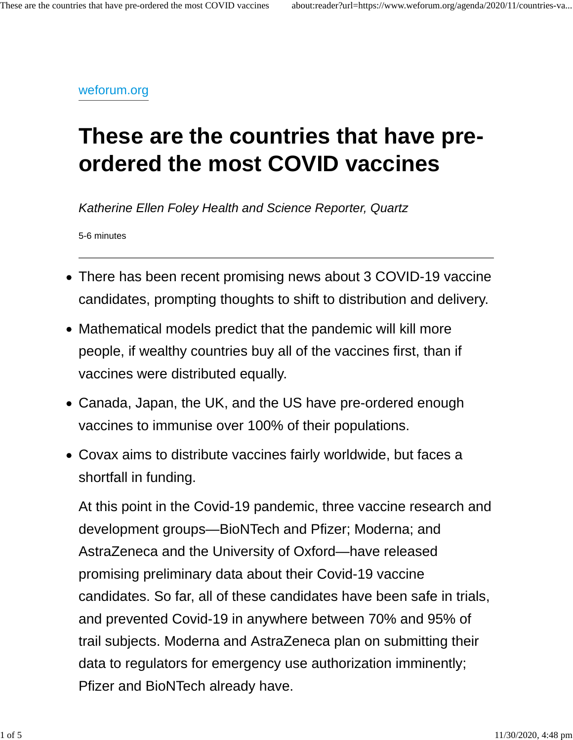## weforum.org

## **These are the countries that have preordered the most COVID vaccines**

*Katherine Ellen Foley Health and Science Reporter, Quartz*

5-6 minutes

- There has been recent promising news about 3 COVID-19 vaccine candidates, prompting thoughts to shift to distribution and delivery.
- Mathematical models predict that the pandemic will kill more people, if wealthy countries buy all of the vaccines first, than if vaccines were distributed equally.
- Canada, Japan, the UK, and the US have pre-ordered enough vaccines to immunise over 100% of their populations.
- Covax aims to distribute vaccines fairly worldwide, but faces a shortfall in funding.

At this point in the Covid-19 pandemic, three vaccine research and development groups—BioNTech and Pfizer; Moderna; and AstraZeneca and the University of Oxford—have released promising preliminary data about their Covid-19 vaccine candidates. So far, all of these candidates have been safe in trials, and prevented Covid-19 in anywhere between 70% and 95% of trail subjects. Moderna and AstraZeneca plan on submitting their data to regulators for emergency use authorization imminently; Pfizer and BioNTech already have.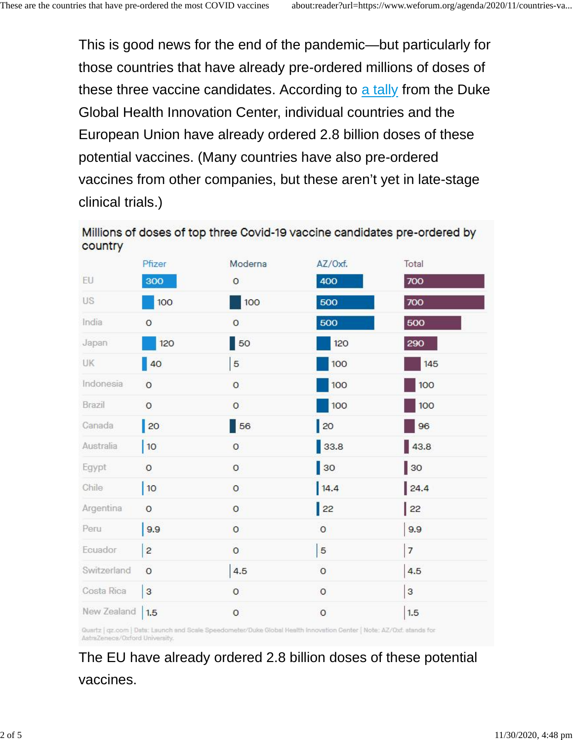This is good news for the end of the pandemic—but particularly for those countries that have already pre-ordered millions of doses of these three vaccine candidates. According to a tally from the Duke Global Health Innovation Center, individual countries and the European Union have already ordered 2.8 billion doses of these potential vaccines. (Many countries have also pre-ordered vaccines from other companies, but these aren't yet in late-stage clinical trials.)

Millions of doses of top three Covid-19 vaccine candidates pre-ordered by country

|             | Pfizer         | Moderna           | AZ/Oxf.                  | Total                    |
|-------------|----------------|-------------------|--------------------------|--------------------------|
| <b>EU</b>   | 300            | $\circ$           | 400                      | 700                      |
| US          | 100            | 100               | 500                      | 700                      |
| India       | 0              | $\circ$           | 500                      | 500                      |
| Japan       | 120            | 50                | 120                      | 290                      |
| UK          | 40             | 5                 | 100                      | 145                      |
| Indonesia   | $\circ$        | $\circ$           | 100                      | 100                      |
| Brazil      | $\circ$        | $\circ$           | 100                      | 100                      |
| Canada      | 20             | $\blacksquare$ 56 | 20                       | 96                       |
| Australia   | $ 10\rangle$   | $\circ$           | $\vert$ 33.8             | $\blacksquare$ 43.8      |
| Egypt       | $\circ$        | $\circ$           | $\sqrt{30}$              | $\vert$ 30               |
| Chile       | 10             | $\circ$           | 14.4                     | 24.4                     |
| Argentina   | O              | $\circ$           | $\vert$ 22               | 22                       |
| Peru        | 9.9            | $\circ$           | $\mathsf{o}$             | 9.9                      |
| Ecuador     | $\overline{c}$ | $\circ$           | $\overline{\phantom{a}}$ | $\overline{\phantom{a}}$ |
| Switzerland | $\circ$        | 4.5               | $\circ$                  | 4.5                      |
| Costa Rica  | 3              | $\circ$           | $\circ$                  | 3                        |
| New Zealand | 1.5            | $\circ$           | $\circ$                  | $1.5$                    |

Quartz | qz.com | Dats: Launch and Scale Speedometer/Duke Global Health Innovation Center | Note: AZ/Oxf. stands for AstraZeneca/Oxford University.

The EU have already ordered 2.8 billion doses of these potential vaccines.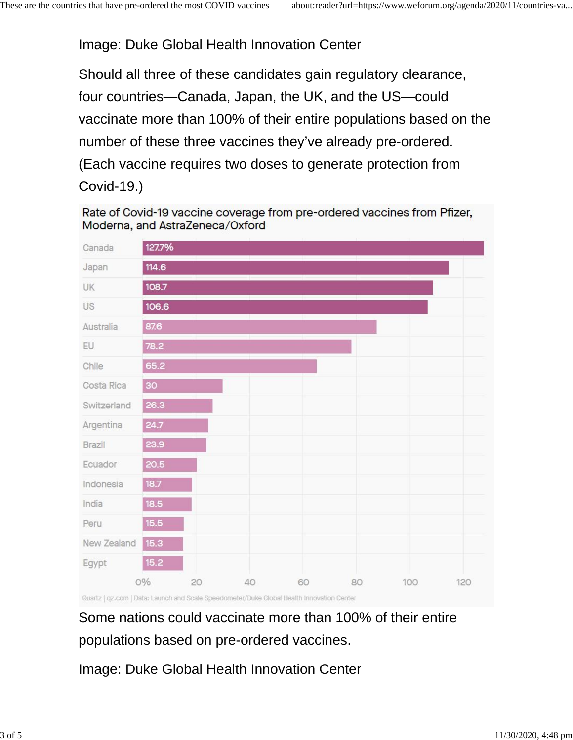## Image: Duke Global Health Innovation Center

Should all three of these candidates gain regulatory clearance, four countries—Canada, Japan, the UK, and the US—could vaccinate more than 100% of their entire populations based on the number of these three vaccines they've already pre-ordered. (Each vaccine requires two doses to generate protection from Covid-19.)

Rate of Covid-19 vaccine coverage from pre-ordered vaccines from Pfizer, Moderna, and AstraZeneca/Oxford

| Canada      | 127.7% |    |    |    |    |            |  |
|-------------|--------|----|----|----|----|------------|--|
| Japan       | 114.6  |    |    |    |    |            |  |
| UK          | 108.7  |    |    |    |    |            |  |
| US          | 106.6  |    |    |    |    |            |  |
| Australia   | 87.6   |    |    |    |    |            |  |
| EU          | 78.2   |    |    |    |    |            |  |
| Chile       | 65.2   |    |    |    |    |            |  |
| Costa Rica  | 30     |    |    |    |    |            |  |
| Switzerland | 26.3   |    |    |    |    |            |  |
| Argentina   | 24.7   |    |    |    |    |            |  |
| Brazil      | 23.9   |    |    |    |    |            |  |
| Ecuador     | 20.5   |    |    |    |    |            |  |
| Indonesia   | 18.7   |    |    |    |    |            |  |
| India       | 18.5   |    |    |    |    |            |  |
| Peru        | $15.5$ |    |    |    |    |            |  |
| New Zealand | 15.3   |    |    |    |    |            |  |
| Egypt       | 15.2   |    |    |    |    |            |  |
|             | O%     | 20 | 40 | 60 | 80 | 120<br>100 |  |

Quartz | qz.com | Data: Launch and Scale Speedometer/Duke Global Health Innovation Center

Some nations could vaccinate more than 100% of their entire populations based on pre-ordered vaccines.

Image: Duke Global Health Innovation Center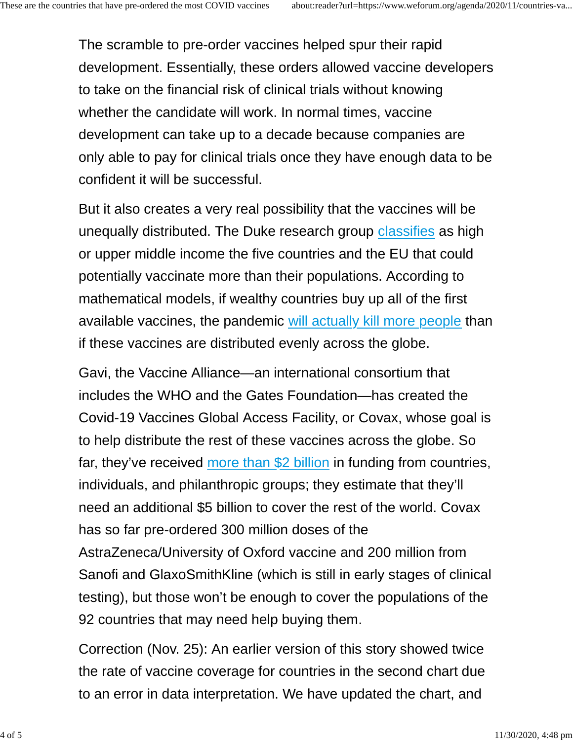The scramble to pre-order vaccines helped spur their rapid development. Essentially, these orders allowed vaccine developers to take on the financial risk of clinical trials without knowing whether the candidate will work. In normal times, vaccine development can take up to a decade because companies are only able to pay for clinical trials once they have enough data to be confident it will be successful.

But it also creates a very real possibility that the vaccines will be unequally distributed. The Duke research group classifies as high or upper middle income the five countries and the EU that could potentially vaccinate more than their populations. According to mathematical models, if wealthy countries buy up all of the first available vaccines, the pandemic will actually kill more people than if these vaccines are distributed evenly across the globe.

Gavi, the Vaccine Alliance—an international consortium that includes the WHO and the Gates Foundation—has created the Covid-19 Vaccines Global Access Facility, or Covax, whose goal is to help distribute the rest of these vaccines across the globe. So far, they've received more than \$2 billion in funding from countries, individuals, and philanthropic groups; they estimate that they'll need an additional \$5 billion to cover the rest of the world. Covax has so far pre-ordered 300 million doses of the AstraZeneca/University of Oxford vaccine and 200 million from Sanofi and GlaxoSmithKline (which is still in early stages of clinical testing), but those won't be enough to cover the populations of the 92 countries that may need help buying them.

Correction (Nov. 25): An earlier version of this story showed twice the rate of vaccine coverage for countries in the second chart due to an error in data interpretation. We have updated the chart, and